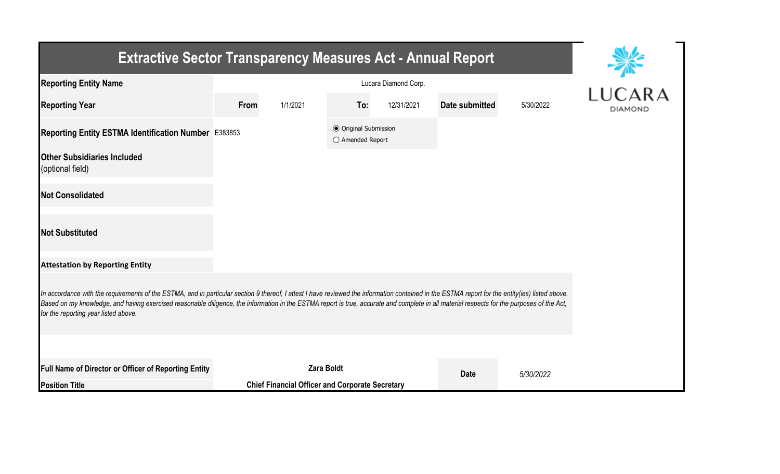| <b>Extractive Sector Transparency Measures Act - Annual Report</b>                                                                                                                                                                                                                                                                                                                                                                    |                                           |                                                        |     |            |                |           |                |  |
|---------------------------------------------------------------------------------------------------------------------------------------------------------------------------------------------------------------------------------------------------------------------------------------------------------------------------------------------------------------------------------------------------------------------------------------|-------------------------------------------|--------------------------------------------------------|-----|------------|----------------|-----------|----------------|--|
| <b>Reporting Entity Name</b>                                                                                                                                                                                                                                                                                                                                                                                                          |                                           | LUCARA                                                 |     |            |                |           |                |  |
| <b>Reporting Year</b>                                                                                                                                                                                                                                                                                                                                                                                                                 | From                                      | 1/1/2021                                               | To: | 12/31/2021 | Date submitted | 5/30/2022 | <b>DIAMOND</b> |  |
| Reporting Entity ESTMA Identification Number E383853                                                                                                                                                                                                                                                                                                                                                                                  | ● Original Submission<br>◯ Amended Report |                                                        |     |            |                |           |                |  |
| <b>Other Subsidiaries Included</b><br>(optional field)                                                                                                                                                                                                                                                                                                                                                                                |                                           |                                                        |     |            |                |           |                |  |
| <b>Not Consolidated</b>                                                                                                                                                                                                                                                                                                                                                                                                               |                                           |                                                        |     |            |                |           |                |  |
| <b>Not Substituted</b>                                                                                                                                                                                                                                                                                                                                                                                                                |                                           |                                                        |     |            |                |           |                |  |
| <b>Attestation by Reporting Entity</b>                                                                                                                                                                                                                                                                                                                                                                                                |                                           |                                                        |     |            |                |           |                |  |
| In accordance with the requirements of the ESTMA, and in particular section 9 thereof, I attest I have reviewed the information contained in the ESTMA report for the entity(ies) listed above.<br>Based on my knowledge, and having exercised reasonable diligence, the information in the ESTMA report is true, accurate and complete in all material respects for the purposes of the Act,<br>for the reporting year listed above. |                                           |                                                        |     |            |                |           |                |  |
|                                                                                                                                                                                                                                                                                                                                                                                                                                       |                                           |                                                        |     |            |                |           |                |  |
| Full Name of Director or Officer of Reporting Entity                                                                                                                                                                                                                                                                                                                                                                                  |                                           | <b>Zara Boldt</b>                                      |     |            | <b>Date</b>    | 5/30/2022 |                |  |
| <b>Position Title</b>                                                                                                                                                                                                                                                                                                                                                                                                                 |                                           | <b>Chief Financial Officer and Corporate Secretary</b> |     |            |                |           |                |  |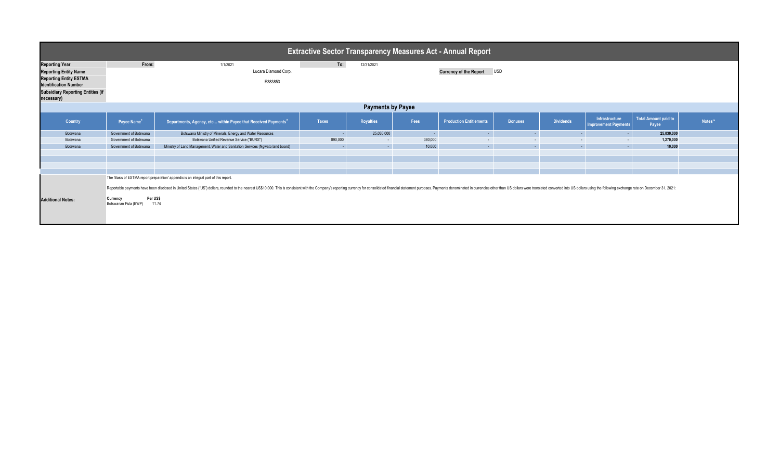| <b>Extractive Sector Transparency Measures Act - Annual Report</b>                                                                                                                                                              |                                                       |                                                                                      |              |                  |                            |                                |                  |                  |                                                      |                                      |                     |  |
|---------------------------------------------------------------------------------------------------------------------------------------------------------------------------------------------------------------------------------|-------------------------------------------------------|--------------------------------------------------------------------------------------|--------------|------------------|----------------------------|--------------------------------|------------------|------------------|------------------------------------------------------|--------------------------------------|---------------------|--|
| <b>Reporting Year</b>                                                                                                                                                                                                           | From:                                                 | 1/1/2021                                                                             | To:          | 12/31/2021       |                            |                                |                  |                  |                                                      |                                      |                     |  |
| <b>Reporting Entity Name</b>                                                                                                                                                                                                    |                                                       | Lucara Diamond Corp.                                                                 |              |                  | Currency of the Report USD |                                |                  |                  |                                                      |                                      |                     |  |
| <b>Reporting Entity ESTMA</b>                                                                                                                                                                                                   |                                                       |                                                                                      |              |                  |                            |                                |                  |                  |                                                      |                                      |                     |  |
| <b>Identification Number</b>                                                                                                                                                                                                    |                                                       | E383853                                                                              |              |                  |                            |                                |                  |                  |                                                      |                                      |                     |  |
| <b>Subsidiary Reporting Entities (if</b><br>necessary)                                                                                                                                                                          |                                                       |                                                                                      |              |                  |                            |                                |                  |                  |                                                      |                                      |                     |  |
| <b>Payments by Payee</b>                                                                                                                                                                                                        |                                                       |                                                                                      |              |                  |                            |                                |                  |                  |                                                      |                                      |                     |  |
| Country                                                                                                                                                                                                                         | Payee Name <sup>1</sup>                               | Departments, Agency, etc within Payee that Received Payments <sup>2</sup>            | <b>Taxes</b> | <b>Royalties</b> | Fees                       | <b>Production Entitlements</b> | <b>Bonuses</b>   | <b>Dividends</b> | <b>Infrastructure</b><br><b>Improvement Payments</b> | <b>Total Amount paid to</b><br>Payee | Notes <sup>34</sup> |  |
| Botswana                                                                                                                                                                                                                        | Government of Botswana                                | Botswana Ministry of Minerals, Energy and Water Resources                            | ۰.           | 25,030,000       | <b>Contract</b>            | <b>Section</b>                 | <b>Section</b>   | $\sim$ 10 $\pm$  | н.                                                   | 25,030,000                           |                     |  |
| Botswana                                                                                                                                                                                                                        | Government of Botswana                                | Botswana Unified Revenue Service ("BURS")                                            | 890,000      | $\sim$           | 380,000                    | $\sim$ 10 $\pm$                | $\sim$ 100 $\pm$ | $\sim$           | $\sim$                                               | 1,270,000                            |                     |  |
| Botswana                                                                                                                                                                                                                        | Government of Botswana                                | Ministry of Land Management, Water and Sanitation Services (Ngwato land board)       |              | $\sim$           | 10,000                     | $\sim$                         | <b>A</b>         | $\sim$           | $\sim$                                               | 10,000                               |                     |  |
|                                                                                                                                                                                                                                 |                                                       |                                                                                      |              |                  |                            |                                |                  |                  |                                                      |                                      |                     |  |
|                                                                                                                                                                                                                                 |                                                       |                                                                                      |              |                  |                            |                                |                  |                  |                                                      |                                      |                     |  |
|                                                                                                                                                                                                                                 |                                                       |                                                                                      |              |                  |                            |                                |                  |                  |                                                      |                                      |                     |  |
|                                                                                                                                                                                                                                 |                                                       | The 'Basis of ESTMA report preparation' appendix is an integral part of this report. |              |                  |                            |                                |                  |                  |                                                      |                                      |                     |  |
|                                                                                                                                                                                                                                 |                                                       |                                                                                      |              |                  |                            |                                |                  |                  |                                                      |                                      |                     |  |
| Reportable payments have been disclosed in United States ("US") dollars, rounded to the nearest US\$10,000. This is consistent with the Company's reporting currency for consolidated financial statement purposes. Payments de |                                                       |                                                                                      |              |                  |                            |                                |                  |                  |                                                      |                                      |                     |  |
| <b>Additional Notes:</b>                                                                                                                                                                                                        | Per US\$<br>Currency<br>Botswanan Pula (BWP)<br>11.74 |                                                                                      |              |                  |                            |                                |                  |                  |                                                      |                                      |                     |  |
|                                                                                                                                                                                                                                 |                                                       |                                                                                      |              |                  |                            |                                |                  |                  |                                                      |                                      |                     |  |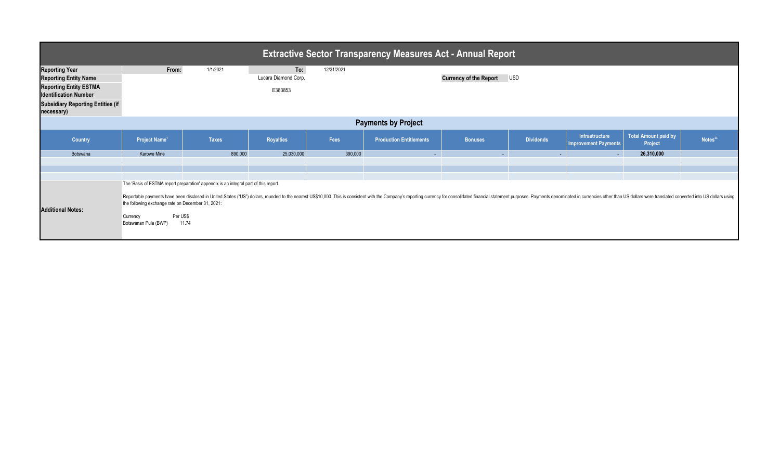| <b>Extractive Sector Transparency Measures Act - Annual Report</b>                                                                                                               |                                                                                                   |                                                                                               |                                        |            |                                                                                                                                                                                                                                 |                               |                      |                                               |                                 |                     |
|----------------------------------------------------------------------------------------------------------------------------------------------------------------------------------|---------------------------------------------------------------------------------------------------|-----------------------------------------------------------------------------------------------|----------------------------------------|------------|---------------------------------------------------------------------------------------------------------------------------------------------------------------------------------------------------------------------------------|-------------------------------|----------------------|-----------------------------------------------|---------------------------------|---------------------|
| <b>Reporting Year</b><br><b>Reporting Entity Name</b><br><b>Reporting Entity ESTMA</b><br><b>Identification Number</b><br><b>Subsidiary Reporting Entities (if</b><br>necessary) | From:                                                                                             | 1/1/2021                                                                                      | To:<br>Lucara Diamond Corp.<br>E383853 | 12/31/2021 |                                                                                                                                                                                                                                 | <b>Currency of the Report</b> | <b>USD</b>           |                                               |                                 |                     |
| <b>Payments by Project</b>                                                                                                                                                       |                                                                                                   |                                                                                               |                                        |            |                                                                                                                                                                                                                                 |                               |                      |                                               |                                 |                     |
| Country                                                                                                                                                                          | Project Name <sup>1</sup>                                                                         | <b>Taxes</b>                                                                                  | <b>Royalties</b>                       | Fees       | <b>Production Entitlements</b>                                                                                                                                                                                                  | <b>Bonuses</b>                | <b>Dividends</b>     | Infrastructure<br><b>Improvement Payments</b> | Total Amount paid by<br>Project | Notes <sup>23</sup> |
| Botswana                                                                                                                                                                         | Karowe Mine                                                                                       | 890,000                                                                                       | 25,030,000                             | 390,000    | $\sim$                                                                                                                                                                                                                          | $\sim$                        | <b>START COMPOSE</b> | $\sim 10$                                     | 26,310,000                      |                     |
| <b>Additional Notes:</b>                                                                                                                                                         | the following exchange rate on December 31, 2021:<br>Per US\$<br>Currency<br>Botswanan Pula (BWP) | The 'Basis of ESTMA report preparation' appendix is an integral part of this report.<br>11.74 |                                        |            | Reportable payments have been disclosed in United States ("US") dollars, rounded to the nearest US\$10,000. This is consistent with the Company's reporting currency for consolidated financial statement purposes. Payments de |                               |                      |                                               |                                 |                     |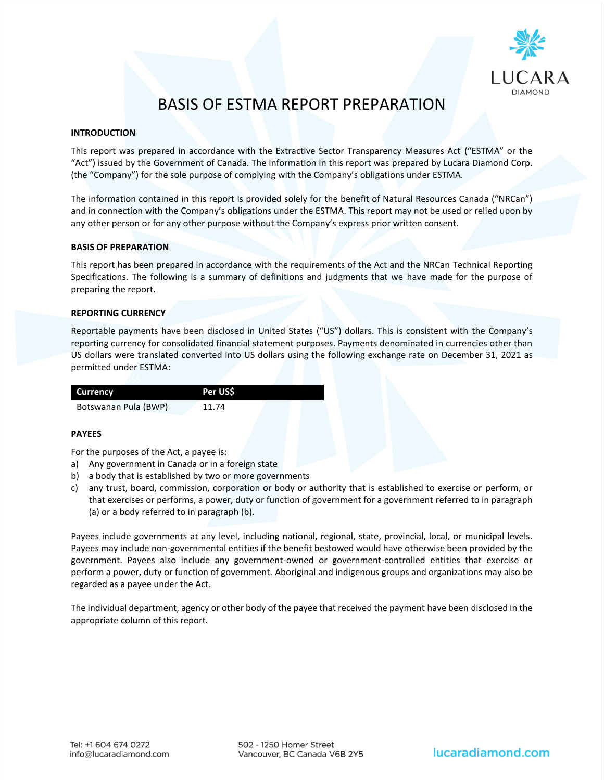

# BASIS OF ESTMA REPORT PREPARATION

## **INTRODUCTION**

This report was prepared in accordance with the Extractive Sector Transparency Measures Act ("ESTMA" or the "Act") issued by the Government of Canada. The information in this report was prepared by Lucara Diamond Corp. (the "Company") for the sole purpose of complying with the Company's obligations under ESTMA.

The information contained in this report is provided solely for the benefit of Natural Resources Canada ("NRCan") and in connection with the Company's obligations under the ESTMA. This report may not be used or relied upon by any other person or for any other purpose without the Company's express prior written consent.

#### **BASIS OF PREPARATION**

This report has been prepared in accordance with the requirements of the Act and the NRCan Technical Reporting Specifications. The following is a summary of definitions and judgments that we have made for the purpose of preparing the report.

## **REPORTING CURRENCY**

Reportable payments have been disclosed in United States ("US") dollars. This is consistent with the Company's reporting currency for consolidated financial statement purposes. Payments denominated in currencies other than US dollars were translated converted into US dollars using the following exchange rate on December 31, 2021 as permitted under ESTMA:

| Currency             | Per USS |  |
|----------------------|---------|--|
| Botswanan Pula (BWP) | 11.74   |  |

## **PAYEES**

For the purposes of the Act, a payee is:

- a) Any government in Canada or in a foreign state
- b) a body that is established by two or more governments
- c) any trust, board, commission, corporation or body or authority that is established to exercise or perform, or that exercises or performs, a power, duty or function of government for a government referred to in paragraph (a) or a body referred to in paragraph (b).

Payees include governments at any level, including national, regional, state, provincial, local, or municipal levels. Payees may include non-governmental entities if the benefit bestowed would have otherwise been provided by the government. Payees also include any government-owned or government-controlled entities that exercise or perform a power, duty or function of government. Aboriginal and indigenous groups and organizations may also be regarded as a payee under the Act.

The individual department, agency or other body of the payee that received the payment have been disclosed in the appropriate column of this report.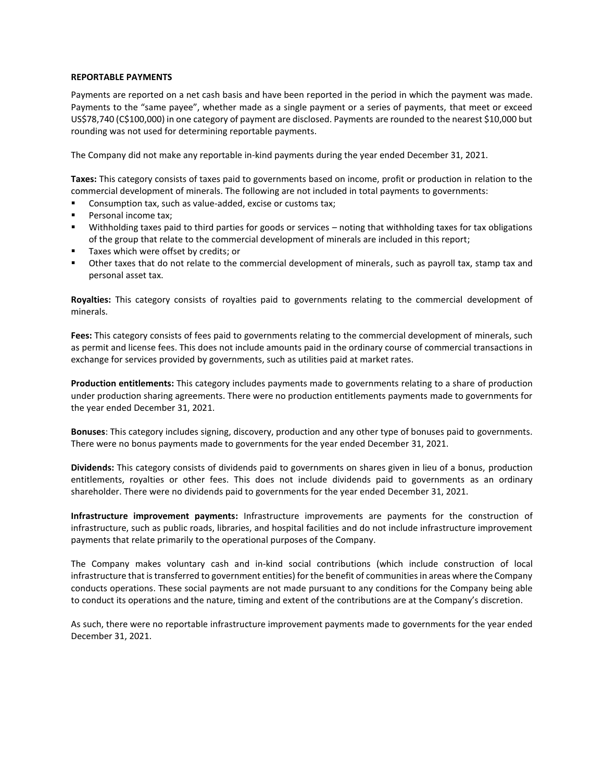## **REPORTABLE PAYMENTS**

Payments are reported on a net cash basis and have been reported in the period in which the payment was made. Payments to the "same payee", whether made as a single payment or a series of payments, that meet or exceed US\$78,740 (C\$100,000) in one category of payment are disclosed. Payments are rounded to the nearest \$10,000 but rounding was not used for determining reportable payments.

The Company did not make any reportable in-kind payments during the year ended December 31, 2021.

**Taxes:** This category consists of taxes paid to governments based on income, profit or production in relation to the commercial development of minerals. The following are not included in total payments to governments:

- Consumption tax, such as value-added, excise or customs tax;
- Personal income tax;
- Withholding taxes paid to third parties for goods or services noting that withholding taxes for tax obligations of the group that relate to the commercial development of minerals are included in this report;
- Taxes which were offset by credits; or
- Other taxes that do not relate to the commercial development of minerals, such as payroll tax, stamp tax and personal asset tax.

**Royalties:** This category consists of royalties paid to governments relating to the commercial development of minerals.

**Fees:** This category consists of fees paid to governments relating to the commercial development of minerals, such as permit and license fees. This does not include amounts paid in the ordinary course of commercial transactions in exchange for services provided by governments, such as utilities paid at market rates.

**Production entitlements:** This category includes payments made to governments relating to a share of production under production sharing agreements. There were no production entitlements payments made to governments for the year ended December 31, 2021.

**Bonuses**: This category includes signing, discovery, production and any other type of bonuses paid to governments. There were no bonus payments made to governments for the year ended December 31, 2021.

**Dividends:** This category consists of dividends paid to governments on shares given in lieu of a bonus, production entitlements, royalties or other fees. This does not include dividends paid to governments as an ordinary shareholder. There were no dividends paid to governments for the year ended December 31, 2021.

**Infrastructure improvement payments:** Infrastructure improvements are payments for the construction of infrastructure, such as public roads, libraries, and hospital facilities and do not include infrastructure improvement payments that relate primarily to the operational purposes of the Company.

The Company makes voluntary cash and in-kind social contributions (which include construction of local infrastructure that istransferred to government entities) for the benefit of communities in areas where the Company conducts operations. These social payments are not made pursuant to any conditions for the Company being able to conduct its operations and the nature, timing and extent of the contributions are at the Company's discretion.

As such, there were no reportable infrastructure improvement payments made to governments for the year ended December 31, 2021.